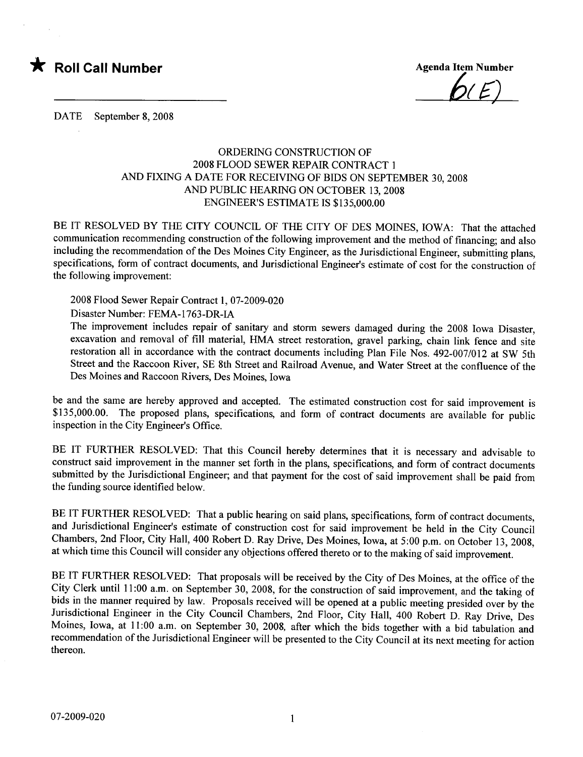

 $D(E)$ 

DATE September 8, 2008

## ORDERING CONSTRUCTION OF 2008 FLOOD SEWER REPAIR CONTRACT 1 AND FIXING A DATE FOR RECEIVING OF BIDS ON SEPTEMBER 30, 2008 AND PUBLIC HEARING ON OCTOBER 13, 2008 ENGINEER'S ESTIMATE IS \$135,000.00

BE IT RESOLVED BY THE CITY COUNCIL OF THE CITY OF DES MOINES, IOWA: That the attached communication recommending construction of the following improvement and the method of financing; and also including the recommendation of the Des Moines City Engineer, as the Jurisdictional Engineer, submitting plans, specifications, form of contract documents, and Jurisdictional Engineer's estimate of cost for the construction of the following improvement:

2008 Flood Sewer Repair Contract 1,07-2009-020

Disaster Number: FEMA-1763-DR-IA

The improvement includes repair of sanitary and storm sewers damaged during the 2008 Iowa Disaster, excavation and removal of fill material, HMA street restoration, gravel parking, chain link fence and site restoration all in accordance with the contract documents including Plan File Nos. 492-007/012 at SW 5th Street and the Raccoon River, SE 8th Street and Railroad Avenue, and Water Street at the confluence of the Des Moines and Raccoon Rivers, Des Moines, Iowa

be and the same are hereby approved and accepted. The estimated construction cost for said improvement is \$135,000.00. The proposed plans, specifications, and form of contract documents are available for public inspection in the City Engineer's Office.

BE IT FURTHER RESOLVED: That this Council hereby determines that it is necessary and advisable to construct said improvement in the manner set forth in the plans, specifications, and form of contract documents submitted by the Jurisdictional Engineer; and that payment for the cost of said improvement shall be paid from the funding source identified below.

BE IT FURTHER RESOLVED: That a public hearing on said plans, specifications, form of contract documents, and Jurisdictional Engineer's estimate of construction cost for said improvement be held in the City Council Chambers, 2nd Floor, City Hall, 400 Robert D. Ray Drive, Des Moines, Iowa, at 5:00 p.m. on October 13,2008, at which time this Council will consider any objections offered thereto or to the making of said improvement.

BE IT FURTHER RESOLVED: That proposals will be received by the City of Des Moines, at the office of the City Clerk until 11 :00 a.m. on September 30, 2008, for the construction of said improvement, and the taking of bids in the manner required by law. Proposals received will be opened at a public meeting presided over by the Jurisdictional Engineer in the City Council Chambers, 2nd Floor, City Hall, 400 Robert D. Ray Drive, Des Moines, Iowa, at 11 :00 a.m. on September 30, 2008, after which the bids together with a bid tabulation and recommendation of the Jurisdictional Engineer will be presented to the City Council at its next meeting for action thereon.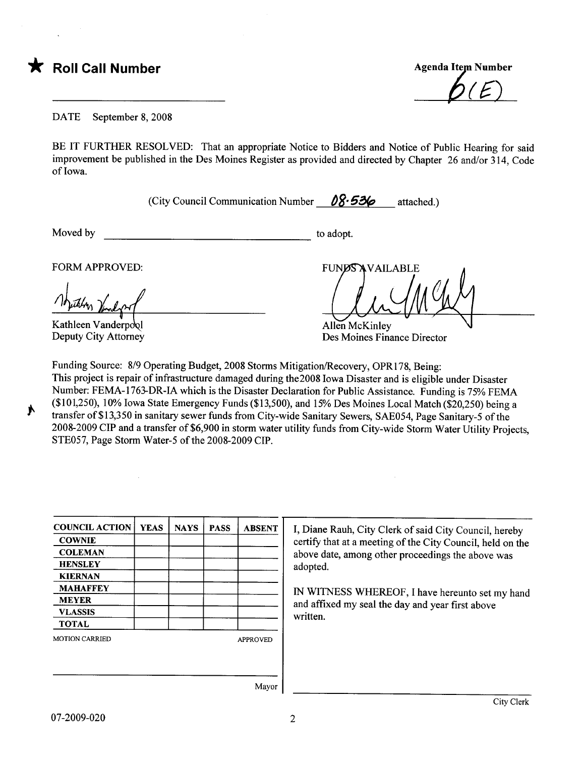\* Roll Call Number Agenda Item Number Agenda Item Number

DATE September 8, 2008

BE IT FURTHER RESOLVED: That an appropriate Notice to Bidders and Notice of Public Hearing for said improvement be published in the Des Moines Register as provided and directed by Chapter 26 and/or 314, Code of Iowa.

(City Council Communication Number  $\theta 8.536$  attached.)

Moved by to adopt.

;.

FORM APPROVED:

Kathleen Vanderpool Deputy City Attorney

**FUNDS AVAILABLE** Allen McKinley

Des Moines Finance Director

Funding Source: 8/9 Operating Budget, 2008 Storms Mitigation/ecovery, OPRI78, Being: This project is repair of infrastructure damaged during the2008 Iowa Disaster and is eligible under Disaster Number: FEMA-1763-DR-IA which is the Disaster Declaration for Public Assistance. Funding is 75% FEMA (\$ 10 1,250), 10% Iowa State Emergency Funds (\$13,500), and 15% Des Moines Local Match (\$20,250) being a transfer of\$13,350 in sanitary sewer funds from City-wide Sanitary Sewers, SAE054, Page Sanitary-5 of the 2008-2009 CIP and a transfer of \$6,900 in storm water utility funds from City-wide Storm Water Utility Projects, STE057, Page Storm Water-5 of the 2008-2009 CIP.

| <b>COWNIE</b><br>certify that at a meeting of the City Council, held on the<br><b>COLEMAN</b><br>above date, among other proceedings the above was<br><b>HENSLEY</b><br>adopted.<br><b>KIERNAN</b><br><b>MAHAFFEY</b><br>IN WITNESS WHEREOF, I have hereunto set my hand<br><b>MEYER</b><br>and affixed my seal the day and year first above<br><b>VLASSIS</b><br>written.<br><b>TOTAL</b><br><b>MOTION CARRIED</b><br><b>APPROVED</b> | <b>COUNCIL ACTION</b> | <b>YEAS</b> | <b>NAYS</b> | <b>PASS</b> | <b>ABSENT</b> | I, Diane Rauh, City Clerk of said City Council, hereby |  |  |  |
|----------------------------------------------------------------------------------------------------------------------------------------------------------------------------------------------------------------------------------------------------------------------------------------------------------------------------------------------------------------------------------------------------------------------------------------|-----------------------|-------------|-------------|-------------|---------------|--------------------------------------------------------|--|--|--|
|                                                                                                                                                                                                                                                                                                                                                                                                                                        |                       |             |             |             |               |                                                        |  |  |  |
|                                                                                                                                                                                                                                                                                                                                                                                                                                        |                       |             |             |             |               |                                                        |  |  |  |
|                                                                                                                                                                                                                                                                                                                                                                                                                                        |                       |             |             |             |               |                                                        |  |  |  |
|                                                                                                                                                                                                                                                                                                                                                                                                                                        |                       |             |             |             |               |                                                        |  |  |  |
|                                                                                                                                                                                                                                                                                                                                                                                                                                        |                       |             |             |             |               |                                                        |  |  |  |
|                                                                                                                                                                                                                                                                                                                                                                                                                                        |                       |             |             |             |               |                                                        |  |  |  |
|                                                                                                                                                                                                                                                                                                                                                                                                                                        |                       |             |             |             |               |                                                        |  |  |  |
|                                                                                                                                                                                                                                                                                                                                                                                                                                        |                       |             |             |             |               |                                                        |  |  |  |
|                                                                                                                                                                                                                                                                                                                                                                                                                                        |                       |             |             |             |               |                                                        |  |  |  |
|                                                                                                                                                                                                                                                                                                                                                                                                                                        |                       |             |             |             |               |                                                        |  |  |  |

Mayor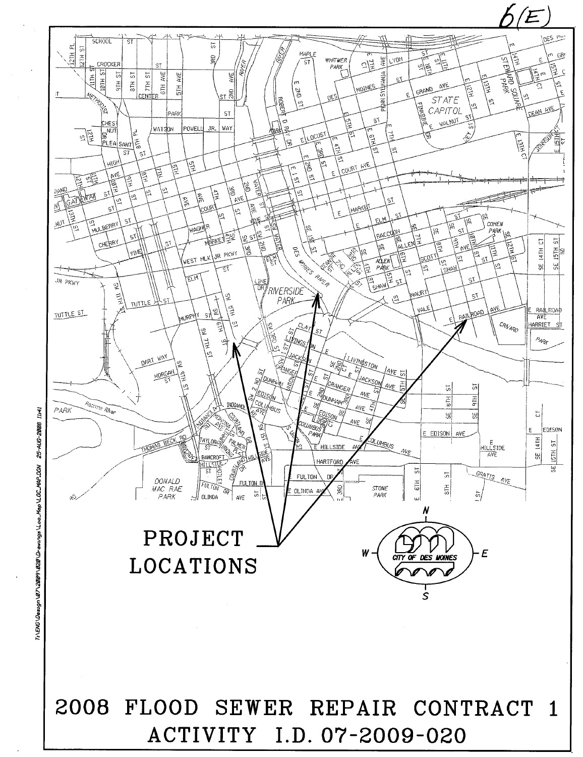

25-AUG-2008 Map \LOC\_MAP.DGN T:\ENG\Design\07\2009\020\Drawings\Loo.